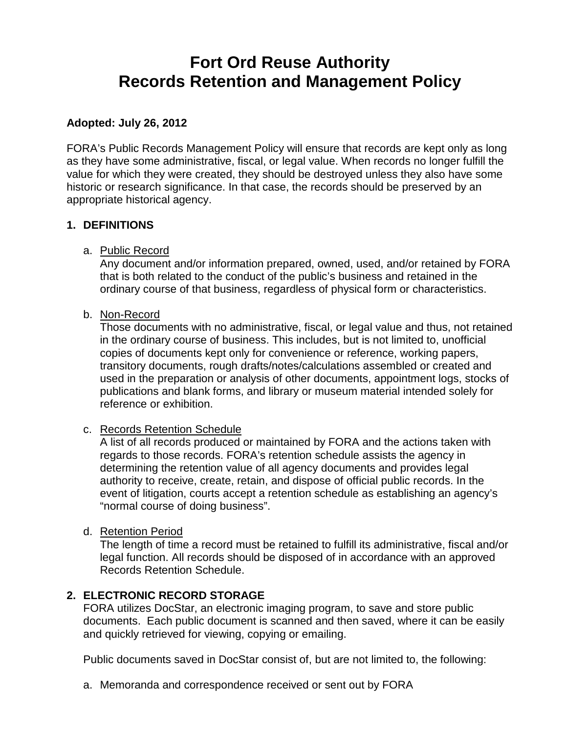# **Fort Ord Reuse Authority Records Retention and Management Policy**

#### **Adopted: July 26, 2012**

FORA's Public Records Management Policy will ensure that records are kept only as long as they have some administrative, fiscal, or legal value. When records no longer fulfill the value for which they were created, they should be destroyed unless they also have some historic or research significance. In that case, the records should be preserved by an appropriate historical agency.

#### **1. DEFINITIONS**

a. Public Record

Any document and/or information prepared, owned, used, and/or retained by FORA that is both related to the conduct of the public's business and retained in the ordinary course of that business, regardless of physical form or characteristics.

#### b. Non-Record

Those documents with no administrative, fiscal, or legal value and thus, not retained in the ordinary course of business. This includes, but is not limited to, unofficial copies of documents kept only for convenience or reference, working papers, transitory documents, rough drafts/notes/calculations assembled or created and used in the preparation or analysis of other documents, appointment logs, stocks of publications and blank forms, and library or museum material intended solely for reference or exhibition.

#### c. Records Retention Schedule

A list of all records produced or maintained by FORA and the actions taken with regards to those records. FORA's retention schedule assists the agency in determining the retention value of all agency documents and provides legal authority to receive, create, retain, and dispose of official public records. In the event of litigation, courts accept a retention schedule as establishing an agency's "normal course of doing business".

d. Retention Period

The length of time a record must be retained to fulfill its administrative, fiscal and/or legal function. All records should be disposed of in accordance with an approved Records Retention Schedule.

## **2. ELECTRONIC RECORD STORAGE**

FORA utilizes DocStar, an electronic imaging program, to save and store public documents. Each public document is scanned and then saved, where it can be easily and quickly retrieved for viewing, copying or emailing.

Public documents saved in DocStar consist of, but are not limited to, the following:

a. Memoranda and correspondence received or sent out by FORA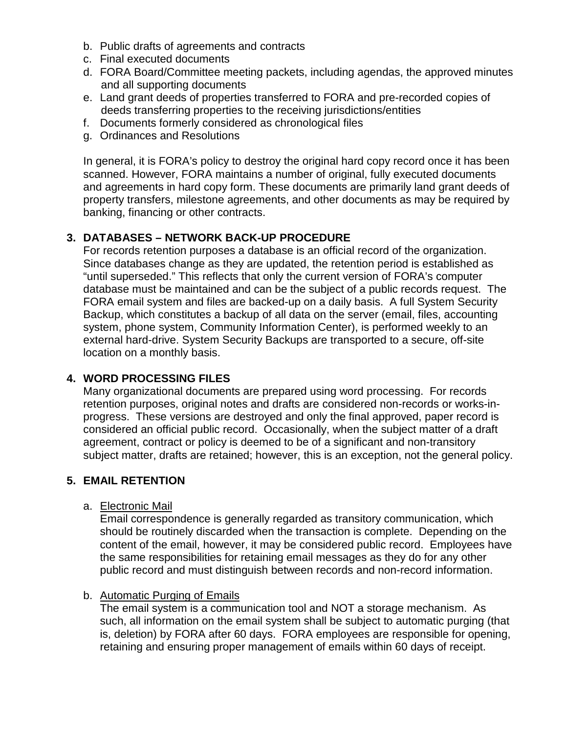- b. Public drafts of agreements and contracts
- c. Final executed documents
- d. FORA Board/Committee meeting packets, including agendas, the approved minutes and all supporting documents
- e. Land grant deeds of properties transferred to FORA and pre-recorded copies of deeds transferring properties to the receiving jurisdictions/entities
- f. Documents formerly considered as chronological files
- g. Ordinances and Resolutions

In general, it is FORA's policy to destroy the original hard copy record once it has been scanned. However, FORA maintains a number of original, fully executed documents and agreements in hard copy form. These documents are primarily land grant deeds of property transfers, milestone agreements, and other documents as may be required by banking, financing or other contracts.

## **3. DATABASES – NETWORK BACK-UP PROCEDURE**

For records retention purposes a database is an official record of the organization. Since databases change as they are updated, the retention period is established as "until superseded." This reflects that only the current version of FORA's computer database must be maintained and can be the subject of a public records request. The FORA email system and files are backed-up on a daily basis. A full System Security Backup, which constitutes a backup of all data on the server (email, files, accounting system, phone system, Community Information Center), is performed weekly to an external hard-drive. System Security Backups are transported to a secure, off-site location on a monthly basis.

#### **4. WORD PROCESSING FILES**

Many organizational documents are prepared using word processing. For records retention purposes, original notes and drafts are considered non-records or works-inprogress. These versions are destroyed and only the final approved, paper record is considered an official public record. Occasionally, when the subject matter of a draft agreement, contract or policy is deemed to be of a significant and non-transitory subject matter, drafts are retained; however, this is an exception, not the general policy.

## **5. EMAIL RETENTION**

#### a. Electronic Mail

Email correspondence is generally regarded as transitory communication, which should be routinely discarded when the transaction is complete. Depending on the content of the email, however, it may be considered public record. Employees have the same responsibilities for retaining email messages as they do for any other public record and must distinguish between records and non-record information.

#### b. Automatic Purging of Emails

The email system is a communication tool and NOT a storage mechanism. As such, all information on the email system shall be subject to automatic purging (that is, deletion) by FORA after 60 days. FORA employees are responsible for opening, retaining and ensuring proper management of emails within 60 days of receipt.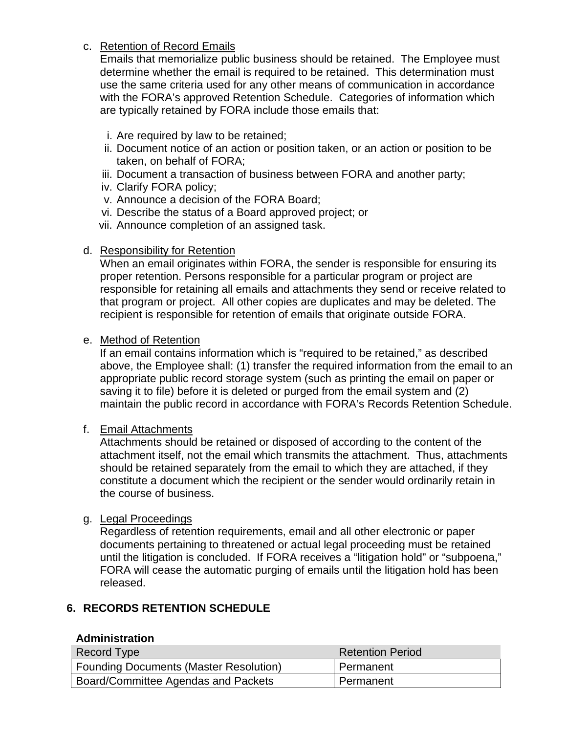#### c. Retention of Record Emails

Emails that memorialize public business should be retained. The Employee must determine whether the email is required to be retained. This determination must use the same criteria used for any other means of communication in accordance with the FORA's approved Retention Schedule. Categories of information which are typically retained by FORA include those emails that:

- i. Are required by law to be retained;
- ii. Document notice of an action or position taken, or an action or position to be taken, on behalf of FORA;
- iii. Document a transaction of business between FORA and another party;
- iv. Clarify FORA policy;
- v. Announce a decision of the FORA Board;
- vi. Describe the status of a Board approved project; or
- vii. Announce completion of an assigned task.

#### d. Responsibility for Retention

When an email originates within FORA, the sender is responsible for ensuring its proper retention. Persons responsible for a particular program or project are responsible for retaining all emails and attachments they send or receive related to that program or project. All other copies are duplicates and may be deleted. The recipient is responsible for retention of emails that originate outside FORA.

#### e. Method of Retention

If an email contains information which is "required to be retained," as described above, the Employee shall: (1) transfer the required information from the email to an appropriate public record storage system (such as printing the email on paper or saving it to file) before it is deleted or purged from the email system and (2) maintain the public record in accordance with FORA's Records Retention Schedule.

#### f. Email Attachments

Attachments should be retained or disposed of according to the content of the attachment itself, not the email which transmits the attachment. Thus, attachments should be retained separately from the email to which they are attached, if they constitute a document which the recipient or the sender would ordinarily retain in the course of business.

#### g. Legal Proceedings

Regardless of retention requirements, email and all other electronic or paper documents pertaining to threatened or actual legal proceeding must be retained until the litigation is concluded. If FORA receives a "litigation hold" or "subpoena," FORA will cease the automatic purging of emails until the litigation hold has been released.

## **6. RECORDS RETENTION SCHEDULE**

#### **Administration**

| Record Type                                   | <b>Retention Period</b> |
|-----------------------------------------------|-------------------------|
| <b>Founding Documents (Master Resolution)</b> | l Permanent             |
| Board/Committee Agendas and Packets           | Permanent               |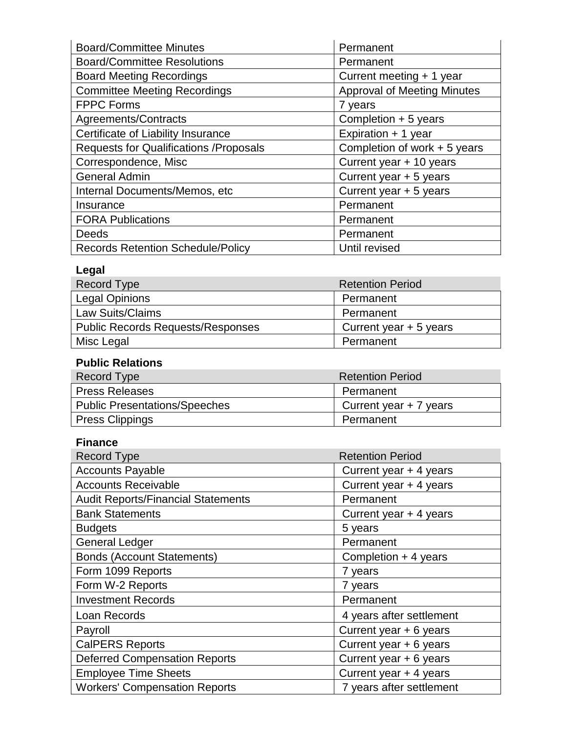| <b>Board/Committee Minutes</b>                 | Permanent                          |
|------------------------------------------------|------------------------------------|
| <b>Board/Committee Resolutions</b>             | Permanent                          |
| <b>Board Meeting Recordings</b>                | Current meeting + 1 year           |
| <b>Committee Meeting Recordings</b>            | <b>Approval of Meeting Minutes</b> |
| <b>FPPC Forms</b>                              | 7 years                            |
| Agreements/Contracts                           | Completion + 5 years               |
| Certificate of Liability Insurance             | Expiration + 1 year                |
| <b>Requests for Qualifications / Proposals</b> | Completion of work $+5$ years      |
| Correspondence, Misc                           | Current year + 10 years            |
| <b>General Admin</b>                           | Current year + 5 years             |
| Internal Documents/Memos, etc                  | Current year + 5 years             |
| Insurance                                      | Permanent                          |
| <b>FORA Publications</b>                       | Permanent                          |
| Deeds                                          | Permanent                          |
| <b>Records Retention Schedule/Policy</b>       | Until revised                      |

## **Legal**

| Record Type                              | <b>Retention Period</b> |
|------------------------------------------|-------------------------|
| <b>Legal Opinions</b>                    | Permanent               |
| <b>Law Suits/Claims</b>                  | Permanent               |
| <b>Public Records Requests/Responses</b> | Current year $+5$ years |
| Misc Legal                               | Permanent               |

## **Public Relations**

| Record Type                          | <b>Retention Period</b> |
|--------------------------------------|-------------------------|
| <b>Press Releases</b>                | Permanent               |
| <b>Public Presentations/Speeches</b> | Current year $+7$ years |
| <b>Press Clippings</b>               | Permanent               |

## **Finance**

| <b>Record Type</b>                        | <b>Retention Period</b>  |
|-------------------------------------------|--------------------------|
| <b>Accounts Payable</b>                   | Current year + 4 years   |
| <b>Accounts Receivable</b>                | Current year + 4 years   |
| <b>Audit Reports/Financial Statements</b> | Permanent                |
| <b>Bank Statements</b>                    | Current year + 4 years   |
| <b>Budgets</b>                            | 5 years                  |
| <b>General Ledger</b>                     | Permanent                |
| <b>Bonds (Account Statements)</b>         | Completion $+4$ years    |
| Form 1099 Reports                         | 7 years                  |
| Form W-2 Reports                          | 7 years                  |
| <b>Investment Records</b>                 | Permanent                |
| Loan Records                              | 4 years after settlement |
| Payroll                                   | Current year + 6 years   |
| <b>CalPERS Reports</b>                    | Current year + 6 years   |
| <b>Deferred Compensation Reports</b>      | Current year + 6 years   |
| <b>Employee Time Sheets</b>               | Current year + 4 years   |
| <b>Workers' Compensation Reports</b>      | 7 years after settlement |